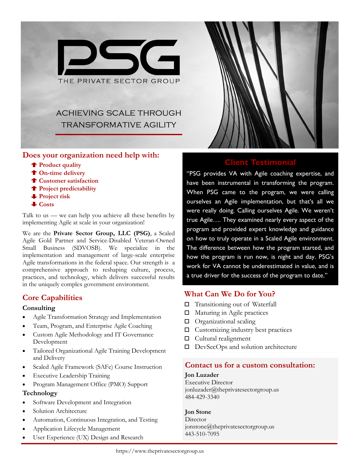

## **Does your organization need help with:**

- **Product quality**
- **On-time delivery**
- **Customer satisfaction**
- **Project predictability**
- **Project risk**
- **Costs**

Talk to us — we can help you achieve all these benefits by implementing Agile at scale in your organization!

We are the **Private Sector Group, LLC (PSG)**, a Scaled Agile Gold Partner and Service-Disabled Veteran-Owned Small Business (SDVOSB). We specialize in the implementation and management of large-scale enterprise Agile transformations in the federal space. Our strength is a comprehensive approach to reshaping culture, process, practices, and technology, which delivers successful results in the uniquely complex government environment.

# **Core Capabilities**

#### **Consulting**

- Agile Transformation Strategy and Implementation
- Team, Program, and Enterprise Agile Coaching
- Custom Agile Methodology and IT Governance Development
- Tailored Organizational Agile Training Development and Delivery
- Scaled Agile Framework (SAFe) Course Instruction
- **Executive Leadership Training**
- Program Management Office (PMO) Support

#### **Technology**

- Software Development and Integration
- Solution Architecture
- Automation, Continuous Integration, and Testing
- Application Lifecycle Management
- User Experience (UX) Design and Research



## **Client Testimoni**

"PSG provides VA with Agile coaching expertise, and have been instrumental in transforming the program. When PSG came to the program, we were calling ourselves an Agile implementation, but that's all we were really doing. Calling ourselves Agile. We weren't true Agile…. They examined nearly every aspect of the program and provided expert knowledge and guidance on how to truly operate in a Scaled Agile environment. The difference between how the program started, and how the program is run now, is night and day. PSG's work for VA cannot be underestimated in value, and is a true driver for the success of the program to date."

# **What Can We Do for You?**

- □ Transitioning out of Waterfall
- □ Maturing in Agile practices
- $\Box$  Organizational scaling
- $\Box$  Customizing industry best practices
- □ Cultural realignment
- D DevSecOps and solution architecture

## **Contact us for a custom consultation:**

#### **Jon Luzader**

Executive Director jonluzader@theprivatesectorgroup.us 484-429-3340

#### **Jon Stone**

Director jonstone@theprivatesectorgroup.us 443-510-7095